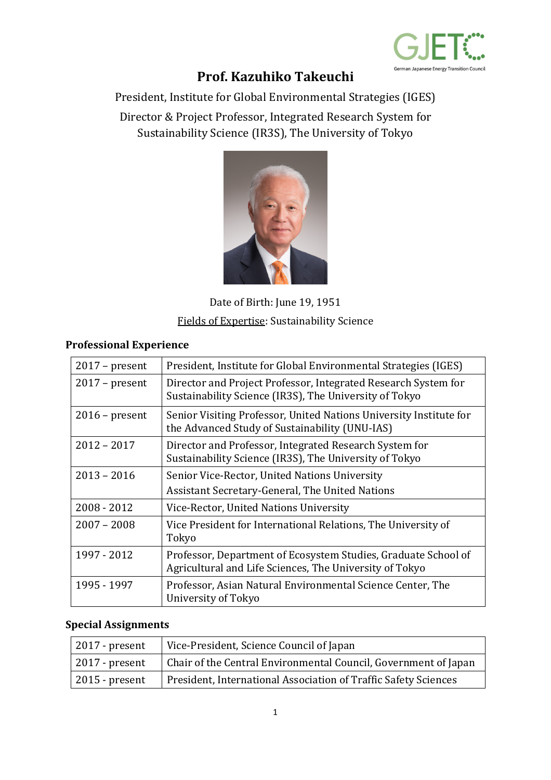

## **Prof. Kazuhiko Takeuchi**

President, Institute for Global Environmental Strategies (IGES)

Director & Project Professor, Integrated Research System for Sustainability Science (IR3S), The University of Tokyo



Date of Birth: June 19, 1951 Fields of Expertise: Sustainability Science

## **Professional Experience**

| $2017$ – present | President, Institute for Global Environmental Strategies (IGES)                                                           |
|------------------|---------------------------------------------------------------------------------------------------------------------------|
| $2017$ – present | Director and Project Professor, Integrated Research System for<br>Sustainability Science (IR3S), The University of Tokyo  |
| $2016$ – present | Senior Visiting Professor, United Nations University Institute for<br>the Advanced Study of Sustainability (UNU-IAS)      |
| $2012 - 2017$    | Director and Professor, Integrated Research System for<br>Sustainability Science (IR3S), The University of Tokyo          |
| $2013 - 2016$    | Senior Vice-Rector, United Nations University                                                                             |
|                  | Assistant Secretary-General, The United Nations                                                                           |
| 2008 - 2012      | Vice-Rector, United Nations University                                                                                    |
| $2007 - 2008$    | Vice President for International Relations, The University of<br>Tokyo                                                    |
| 1997 - 2012      | Professor, Department of Ecosystem Studies, Graduate School of<br>Agricultural and Life Sciences, The University of Tokyo |
| 1995 - 1997      | Professor, Asian Natural Environmental Science Center, The<br>University of Tokyo                                         |

## **Special Assignments**

| $\vert$ 2017 - present | Vice-President, Science Council of Japan                        |
|------------------------|-----------------------------------------------------------------|
| $\vert$ 2017 - present | Chair of the Central Environmental Council, Government of Japan |
| $\vert$ 2015 - present | President, International Association of Traffic Safety Sciences |